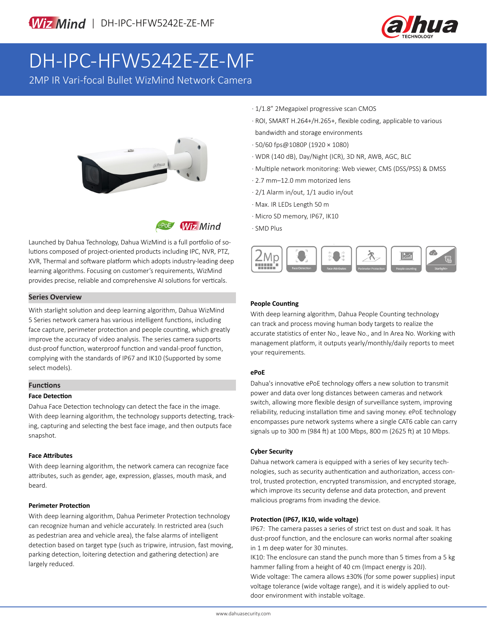

# DH-IPC-HFW5242E-ZE-MF

2MP IR Vari-focal Bullet WizMind Network Camera





Launched by Dahua Technology, Dahua WizMind is a full portfolio of solutions composed of project-oriented products including IPC, NVR, PTZ, XVR, Thermal and software platform which adopts industry-leading deep learning algorithms. Focusing on customer's requirements, WizMind provides precise, reliable and comprehensive AI solutions for verticals.

### **Series Overview**

With starlight solution and deep learning algorithm, Dahua WizMind 5 Series network camera has various intelligent functions, including face capture, perimeter protection and people counting, which greatly improve the accuracy of video analysis. The series camera supports dust-proof function, waterproof function and vandal-proof function, complying with the standards of IP67 and IK10 (Supported by some select models).

# **Functions**

### **Face Detection**

Dahua Face Detection technology can detect the face in the image. With deep learning algorithm, the technology supports detecting, tracking, capturing and selecting the best face image, and then outputs face snapshot.

### **Face Attributes**

With deep learning algorithm, the network camera can recognize face attributes, such as gender, age, expression, glasses, mouth mask, and beard.

### **Perimeter Protection**

With deep learning algorithm, Dahua Perimeter Protection technology can recognize human and vehicle accurately. In restricted area (such as pedestrian area and vehicle area), the false alarms of intelligent detection based on target type (such as tripwire, intrusion, fast moving, parking detection, loitering detection and gathering detection) are largely reduced.

- · 1/1.8" 2Megapixel progressive scan CMOS
- · ROI, SMART H.264+/H.265+, flexible coding, applicable to various bandwidth and storage environments
- · 50/60 fps@1080P (1920 × 1080)
- · WDR (140 dB), Day/Night (ICR), 3D NR, AWB, AGC, BLC
- · Multiple network monitoring: Web viewer, CMS (DSS/PSS) & DMSS
- · 2.7 mm–12.0 mm motorized lens
- · 2/1 Alarm in/out, 1/1 audio in/out
- · Max. IR LEDs Length 50 m
- · Micro SD memory, IP67, IK10
- · SMD Plus



### **People Counting**

With deep learning algorithm, Dahua People Counting technology can track and process moving human body targets to realize the accurate statistics of enter No., leave No., and In Area No. Working with management platform, it outputs yearly/monthly/daily reports to meet your requirements.

### **ePoE**

Dahua's innovative ePoE technology offers a new solution to transmit power and data over long distances between cameras and network switch, allowing more flexible design of surveillance system, improving reliability, reducing installation time and saving money. ePoE technology encompasses pure network systems where a single CAT6 cable can carry signals up to 300 m (984 ft) at 100 Mbps, 800 m (2625 ft) at 10 Mbps.

# **Cyber Security**

Dahua network camera is equipped with a series of key security technologies, such as security authentication and authorization, access control, trusted protection, encrypted transmission, and encrypted storage, which improve its security defense and data protection, and prevent malicious programs from invading the device.

### **Protection (IP67, IK10, wide voltage)**

IP67: The camera passes a series of strict test on dust and soak. It has dust-proof function, and the enclosure can works normal after soaking in 1 m deep water for 30 minutes.

IK10: The enclosure can stand the punch more than 5 times from a 5 kg hammer falling from a height of 40 cm (Impact energy is 20J).

Wide voltage: The camera allows ±30% (for some power supplies) input voltage tolerance (wide voltage range), and it is widely applied to outdoor environment with instable voltage.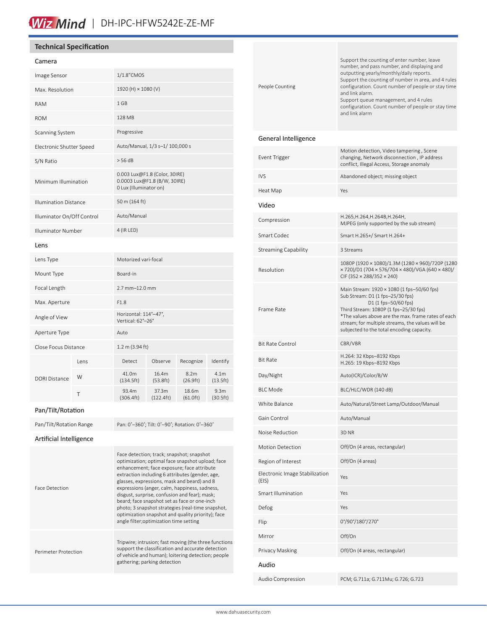# Wiz Mind | DH-IPC-HFW5242E-ZE-MF

# **Technical Specification**

#### Camera

| Image Sensor                 |       | 1/1.8" CMOS                                                                             |                    |                               |                               |
|------------------------------|-------|-----------------------------------------------------------------------------------------|--------------------|-------------------------------|-------------------------------|
| Max. Resolution              |       | 1920 (H) × 1080 (V)                                                                     |                    |                               |                               |
| <b>RAM</b>                   |       | $1$ GB                                                                                  |                    |                               |                               |
| <b>ROM</b>                   |       | 128 MB                                                                                  |                    |                               |                               |
| Scanning System              |       | Progressive                                                                             |                    |                               |                               |
| Electronic Shutter Speed     |       | Auto/Manual, 1/3 s-1/ 100,000 s                                                         |                    |                               |                               |
| S/N Ratio                    |       | > 56 dB                                                                                 |                    |                               |                               |
| Minimum Illumination         |       | 0.003 Lux@F1.8 (Color, 30IRE)<br>0.0003 Lux@F1.8 (B/W, 30IRE)<br>0 Lux (Illuminator on) |                    |                               |                               |
| <b>Illumination Distance</b> |       | 50 m (164 ft)                                                                           |                    |                               |                               |
| Illuminator On/Off Control   |       | Auto/Manual                                                                             |                    |                               |                               |
| <b>Illuminator Number</b>    |       | 4 (IR LED)                                                                              |                    |                               |                               |
| Lens                         |       |                                                                                         |                    |                               |                               |
| Lens Type                    |       | Motorized vari-focal                                                                    |                    |                               |                               |
| Mount Type                   |       | Board-in                                                                                |                    |                               |                               |
| Focal Length                 |       | 2.7 mm-12.0 mm                                                                          |                    |                               |                               |
| Max. Aperture                |       | F1.8                                                                                    |                    |                               |                               |
| Angle of View                |       | Horizontal: 114°-47°,<br>Vertical: 62°-26°                                              |                    |                               |                               |
| Aperture Type                |       | Auto                                                                                    |                    |                               |                               |
| Close Focus Distance         |       | $1.2 \text{ m}$ (3.94 ft)                                                               |                    |                               |                               |
| <b>DORI Distance</b>         | l ens | Detect                                                                                  | Observe            | Recognize                     | Identify                      |
|                              | W     | 41.0m<br>(134.5ft)                                                                      | 16.4m<br>(53.8 ft) | 8.2 <sub>m</sub><br>(26.9 ft) | 4.1 <sub>m</sub><br>(13.5ft)  |
|                              | T     | 93.4m<br>(306.4ft)                                                                      | 37.3m<br>(122.4ft) | 18.6m<br>(61.0 ft)            | 9.3 <sub>m</sub><br>(30.5 ft) |

# Pan/Tilt/Rotation

| Pan/Tilt/Rotation Range | Pan: 0°-360°; Tilt: 0°-90°; Rotation: 0°-360°                                                                                                                                                                                                                                                                                                                                                                                                                                                                                                        |
|-------------------------|------------------------------------------------------------------------------------------------------------------------------------------------------------------------------------------------------------------------------------------------------------------------------------------------------------------------------------------------------------------------------------------------------------------------------------------------------------------------------------------------------------------------------------------------------|
| Artificial Intelligence |                                                                                                                                                                                                                                                                                                                                                                                                                                                                                                                                                      |
| <b>Face Detection</b>   | Face detection; track; snapshot; snapshot<br>optimization; optimal face snapshot upload; face<br>enhancement; face exposure; face attribute<br>extraction including 6 attributes (gender, age,<br>glasses, expressions, mask and beard) and 8<br>expressions (anger, calm, happiness, sadness,<br>disgust, surprise, confusion and fear); mask;<br>beard; face snapshot set as face or one-inch<br>photo; 3 snapshot strategies (real-time snapshot,<br>optimization snapshot and quality priority); face<br>angle filter; optimization time setting |
| Perimeter Protection    | Tripwire; intrusion; fast moving (the three functions<br>support the classification and accurate detection<br>of vehicle and human); loitering detection; people<br>gathering; parking detection                                                                                                                                                                                                                                                                                                                                                     |

| People Counting                         | Support the counting of enter number, leave<br>number, and pass number, and displaying and<br>outputting yearly/monthly/daily reports.<br>Support the counting of number in area, and 4 rules<br>configuration. Count number of people or stay time<br>and link alarm.<br>Support queue management, and 4 rules<br>configuration. Count number of people or stay time<br>and link alarm |
|-----------------------------------------|-----------------------------------------------------------------------------------------------------------------------------------------------------------------------------------------------------------------------------------------------------------------------------------------------------------------------------------------------------------------------------------------|
| General Intelligence                    |                                                                                                                                                                                                                                                                                                                                                                                         |
| Event Trigger                           | Motion detection, Video tampering, Scene<br>changing, Network disconnection, IP address<br>conflict, Illegal Access, Storage anomaly                                                                                                                                                                                                                                                    |
| <b>IVS</b>                              | Abandoned object; missing object                                                                                                                                                                                                                                                                                                                                                        |
| Heat Map                                | Yes                                                                                                                                                                                                                                                                                                                                                                                     |
| Video                                   |                                                                                                                                                                                                                                                                                                                                                                                         |
| Compression                             | H.265, H.264, H.264B, H.264H,<br>MJPEG (only supported by the sub stream)                                                                                                                                                                                                                                                                                                               |
| Smart Codec                             | Smart H.265+/ Smart H.264+                                                                                                                                                                                                                                                                                                                                                              |
| <b>Streaming Capability</b>             | 3 Streams                                                                                                                                                                                                                                                                                                                                                                               |
| Resolution                              | 1080P (1920 × 1080)/1.3M (1280 × 960)/720P (1280<br>× 720)/D1 (704 × 576/704 × 480)/VGA (640 × 480)/<br>CIF (352 $\times$ 288/352 $\times$ 240)                                                                                                                                                                                                                                         |
| Frame Rate                              | Main Stream: 1920 × 1080 (1 fps-50/60 fps)<br>Sub Stream: D1 (1 fps-25/30 fps)<br>D1 (1 fps-50/60 fps)<br>Third Stream: 1080P (1 fps-25/30 fps)<br>*The values above are the max. frame rates of each<br>stream; for multiple streams, the values will be<br>subjected to the total encoding capacity.                                                                                  |
| <b>Bit Rate Control</b>                 | CBR/VBR                                                                                                                                                                                                                                                                                                                                                                                 |
| <b>Bit Rate</b>                         | H.264: 32 Kbps-8192 Kbps<br>H.265: 19 Kbps-8192 Kbps                                                                                                                                                                                                                                                                                                                                    |
| Day/Night                               | Auto(ICR)/Color/B/W                                                                                                                                                                                                                                                                                                                                                                     |
| <b>BLC Mode</b>                         | BLC/HLC/WDR (140 dB)                                                                                                                                                                                                                                                                                                                                                                    |
| White Balance                           | Auto/Natural/Street Lamp/Outdoor/Manual                                                                                                                                                                                                                                                                                                                                                 |
| Gain Control                            | Auto/Manual                                                                                                                                                                                                                                                                                                                                                                             |
| Noise Reduction                         | 3D <sub>NR</sub>                                                                                                                                                                                                                                                                                                                                                                        |
| <b>Motion Detection</b>                 | Off/On (4 areas, rectangular)                                                                                                                                                                                                                                                                                                                                                           |
| Region of Interest                      | Off/On (4 areas)                                                                                                                                                                                                                                                                                                                                                                        |
| Electronic Image Stabilization<br>(EIS) | Yes                                                                                                                                                                                                                                                                                                                                                                                     |
| Smart Illumination                      | Yes                                                                                                                                                                                                                                                                                                                                                                                     |
| Defog                                   | Yes                                                                                                                                                                                                                                                                                                                                                                                     |
| Flip                                    | 0°/90°/180°/270°                                                                                                                                                                                                                                                                                                                                                                        |
| Mirror                                  | Off/On                                                                                                                                                                                                                                                                                                                                                                                  |
| Privacy Masking                         | Off/On (4 areas, rectangular)                                                                                                                                                                                                                                                                                                                                                           |
| Audio                                   |                                                                                                                                                                                                                                                                                                                                                                                         |
| Audio Compression                       | PCM; G.711a; G.711Mu; G.726; G.723                                                                                                                                                                                                                                                                                                                                                      |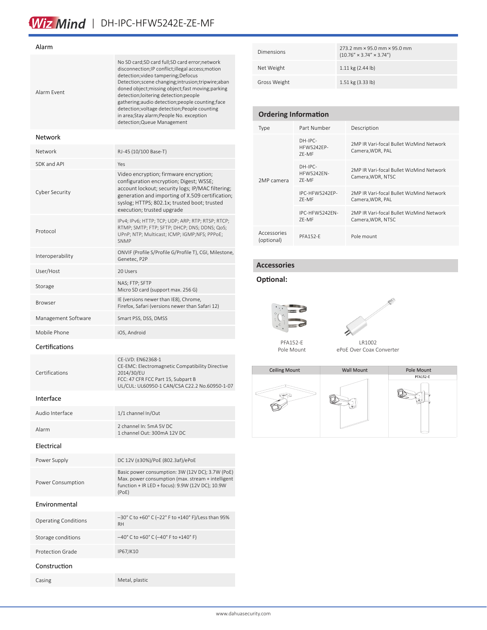# Wiz Mind | DH-IPC-HFW5242E-ZE-MF

| Alarm Event                 | No SD card;SD card full;SD card error;network<br>disconnection; IP conflict; illegal access; motion<br>detection; video tampering; Defocus<br>Detection; scene changing; intrusion; tripwire; aban<br>doned object; missing object; fast moving; parking<br>detection; loitering detection; people<br>gathering; audio detection; people counting; face<br>detection; voltage detection; People counting<br>in area; Stay alarm; People No. exception<br>detection; Queue Management |  |  |
|-----------------------------|--------------------------------------------------------------------------------------------------------------------------------------------------------------------------------------------------------------------------------------------------------------------------------------------------------------------------------------------------------------------------------------------------------------------------------------------------------------------------------------|--|--|
| Network                     |                                                                                                                                                                                                                                                                                                                                                                                                                                                                                      |  |  |
| Network                     | RJ-45 (10/100 Base-T)                                                                                                                                                                                                                                                                                                                                                                                                                                                                |  |  |
| SDK and API                 | Yes                                                                                                                                                                                                                                                                                                                                                                                                                                                                                  |  |  |
| <b>Cyber Security</b>       | Video encryption; firmware encryption;<br>configuration encryption; Digest; WSSE;<br>account lockout; security logs; IP/MAC filtering;<br>generation and importing of X.509 certification;<br>syslog; HTTPS; 802.1x; trusted boot; trusted<br>execution; trusted upgrade                                                                                                                                                                                                             |  |  |
| Protocol                    | IPv4; IPv6; HTTP; TCP; UDP; ARP; RTP; RTSP; RTCP;<br>RTMP; SMTP; FTP; SFTP; DHCP; DNS; DDNS; QoS;<br>UPnP; NTP; Multicast; ICMP; IGMP;NFS; PPPoE;<br><b>SNMP</b>                                                                                                                                                                                                                                                                                                                     |  |  |
| Interoperability            | ONVIF (Profile S/Profile G/Profile T), CGI, Milestone,<br>Genetec, P2P                                                                                                                                                                                                                                                                                                                                                                                                               |  |  |
| User/Host                   | 20 Users                                                                                                                                                                                                                                                                                                                                                                                                                                                                             |  |  |
| Storage                     | NAS; FTP; SFTP<br>Micro SD card (support max. 256 G)                                                                                                                                                                                                                                                                                                                                                                                                                                 |  |  |
| Browser                     | IE (versions newer than IE8), Chrome,<br>Firefox, Safari (versions newer than Safari 12)                                                                                                                                                                                                                                                                                                                                                                                             |  |  |
| Management Software         | Smart PSS, DSS, DMSS                                                                                                                                                                                                                                                                                                                                                                                                                                                                 |  |  |
| Mobile Phone                | iOS, Android                                                                                                                                                                                                                                                                                                                                                                                                                                                                         |  |  |
| Certifications              |                                                                                                                                                                                                                                                                                                                                                                                                                                                                                      |  |  |
|                             |                                                                                                                                                                                                                                                                                                                                                                                                                                                                                      |  |  |
| Certifications              | CE-LVD: EN62368-1<br>CE-EMC: Electromagnetic Compatibility Directive<br>2014/30/EU<br>FCC: 47 CFR FCC Part 15, Subpart B<br>UL/CUL: UL60950-1 CAN/CSA C22.2 No.60950-1-07                                                                                                                                                                                                                                                                                                            |  |  |
| Interface                   |                                                                                                                                                                                                                                                                                                                                                                                                                                                                                      |  |  |
| Audio Interface             | 1/1 channel In/Out                                                                                                                                                                                                                                                                                                                                                                                                                                                                   |  |  |
| Alarm                       | 2 channel In: 5mA 5V DC<br>1 channel Out: 300mA 12V DC                                                                                                                                                                                                                                                                                                                                                                                                                               |  |  |
| Electrical                  |                                                                                                                                                                                                                                                                                                                                                                                                                                                                                      |  |  |
| Power Supply                | DC 12V (±30%)/PoE (802.3af)/ePoE                                                                                                                                                                                                                                                                                                                                                                                                                                                     |  |  |
| Power Consumption           | Basic power consumption: 3W (12V DC); 3.7W (PoE)<br>Max. power consumption (max. stream + intelligent<br>function + IR LED + focus): 9.9W (12V DC); 10.9W<br>(PoE)                                                                                                                                                                                                                                                                                                                   |  |  |
| Environmental               |                                                                                                                                                                                                                                                                                                                                                                                                                                                                                      |  |  |
| <b>Operating Conditions</b> | –30° C to +60° C (–22° F to +140° F)/Less than 95%<br>RH                                                                                                                                                                                                                                                                                                                                                                                                                             |  |  |
| Storage conditions          | -40° C to +60° C (-40° F to +140° F)                                                                                                                                                                                                                                                                                                                                                                                                                                                 |  |  |
| <b>Protection Grade</b>     | IP67, IK10                                                                                                                                                                                                                                                                                                                                                                                                                                                                           |  |  |
| Construction                |                                                                                                                                                                                                                                                                                                                                                                                                                                                                                      |  |  |

| Dimensions   | 273.2 mm x 95.0 mm x 95.0 mm<br>$(10.76'' \times 3.74'' \times 3.74'')$ |
|--------------|-------------------------------------------------------------------------|
| Net Weight   | $1.11$ kg $(2.44$ lb)                                                   |
| Gross Weight | $1.51 \text{ kg}$ (3.33 lb)                                             |

| <b>Ordering Information</b> |                                       |                                                               |  |  |
|-----------------------------|---------------------------------------|---------------------------------------------------------------|--|--|
| Type                        | Part Number                           | Description                                                   |  |  |
| 2MP camera                  | DH-IPC-<br><b>HFW5242FP-</b><br>7F-MF | 2MP IR Vari-focal Bullet WizMind Network<br>Camera, WDR, PAL  |  |  |
|                             | DH-IPC-<br><b>HFW5242FN-</b><br>7F-MF | 2MP IR Vari-focal Bullet WizMind Network<br>Camera, WDR, NTSC |  |  |
|                             | IPC-HFW5242FP-<br>7F-MF               | 2MP IR Vari-focal Bullet WizMind Network<br>Camera, WDR, PAL  |  |  |
|                             | IPC-HFW5242FN-<br>7F-MF               | 2MP IR Vari-focal Bullet WizMind Network<br>Camera, WDR, NTSC |  |  |
| Accessories<br>(optional)   | <b>PFA152-F</b>                       | Pole mount                                                    |  |  |

# **Accessories**

### **Optional:**





PFA152-E Pole Mount

LR1002 ePoE Over Coax Converter